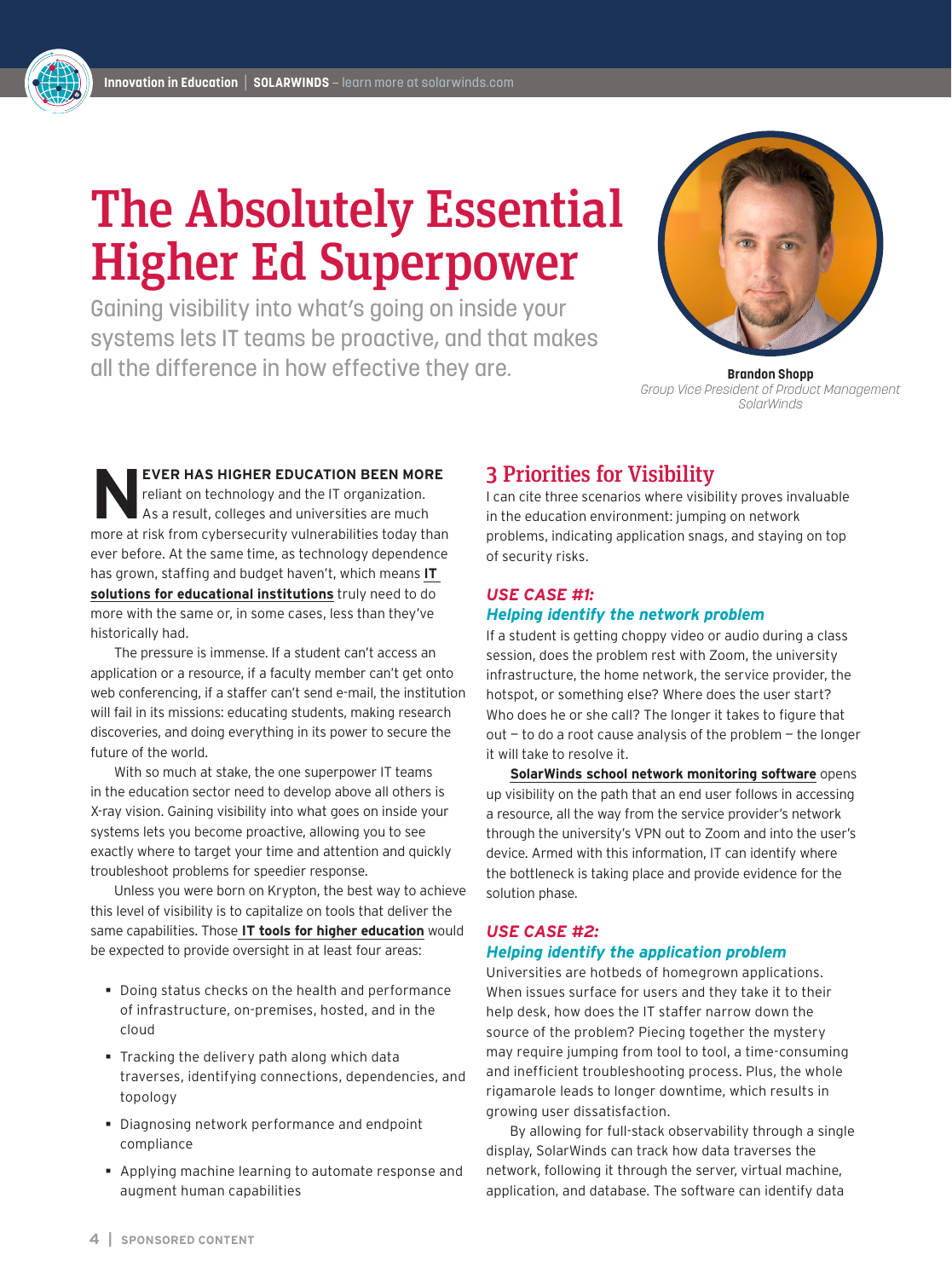# The Absolutely Essential Higher Ed Superpower

Gaining visibility into what's going on inside your systems lets IT teams be proactive, and that makes all the difference in how effective they are. **Brandon Shopp** 



*Group Vice President of Product Management SolarWinds*

**EVER HAS HIGHER EDUCATION BEEN MORE** reliant on technology and the IT organization. As a result, colleges and universities are much more at risk from cybersecurity vulnerabilities today than ever before. At the same time, as technology dependence has grown, staffing and budget haven't, which means **[IT](https://www.solarwinds.com/solutions/education-it-solutions)  [solutions for educational institutions](https://www.solarwinds.com/solutions/education-it-solutions)** truly need to do more with the same or, in some cases, less than they've historically had.

The pressure is immense. If a student can't access an application or a resource, if a faculty member can't get onto web conferencing, if a staffer can't send e-mail, the institution will fail in its missions: educating students, making research discoveries, and doing everything in its power to secure the future of the world.

With so much at stake, the one superpower IT teams in the education sector need to develop above all others is X-ray vision. Gaining visibility into what goes on inside your systems lets you become proactive, allowing you to see exactly where to target your time and attention and quickly troubleshoot problems for speedier response.

Unless you were born on Krypton, the best way to achieve this level of visibility is to capitalize on tools that deliver the same capabilities. Those **[IT tools for higher education](https://www.solarwinds.com/federal-government/solution/higher-education-it-software-solutions)** would be expected to provide oversight in at least four areas:

- Doing status checks on the health and performance of infrastructure, on-premises, hosted, and in the cloud
- **Tracking the delivery path along which data** traverses, identifying connections, dependencies, and topology
- Diagnosing network performance and endpoint compliance
- Applying machine learning to automate response and augment human capabilities

### 3 Priorities for Visibility

I can cite three scenarios where visibility proves invaluable in the education environment: jumping on network problems, indicating application snags, and staying on top of security risks.

#### *USE CASE #1: Helping identify the network problem*

If a student is getting choppy video or audio during a class session, does the problem rest with Zoom, the university infrastructure, the home network, the service provider, the hotspot, or something else? Where does the user start? Who does he or she call? The longer it takes to figure that out — to do a root cause analysis of the problem — the longer it will take to resolve it.

**[SolarWinds school network monitoring software](https://www.solarwinds.com/federal-government/solution/education-industry)** opens up visibility on the path that an end user follows in accessing a resource, all the way from the service provider's network through the university's VPN out to Zoom and into the user's device. Armed with this information, IT can identify where the bottleneck is taking place and provide evidence for the solution phase.

#### *USE CASE #2: Helping identify the application problem*

Universities are hotbeds of homegrown applications. When issues surface for users and they take it to their help desk, how does the IT staffer narrow down the source of the problem? Piecing together the mystery may require jumping from tool to tool, a time-consuming and inefficient troubleshooting process. Plus, the whole rigamarole leads to longer downtime, which results in growing user dissatisfaction.

By allowing for full-stack observability through a single display, SolarWinds can track how data traverses the network, following it through the server, virtual machine, application, and database. The software can identify data